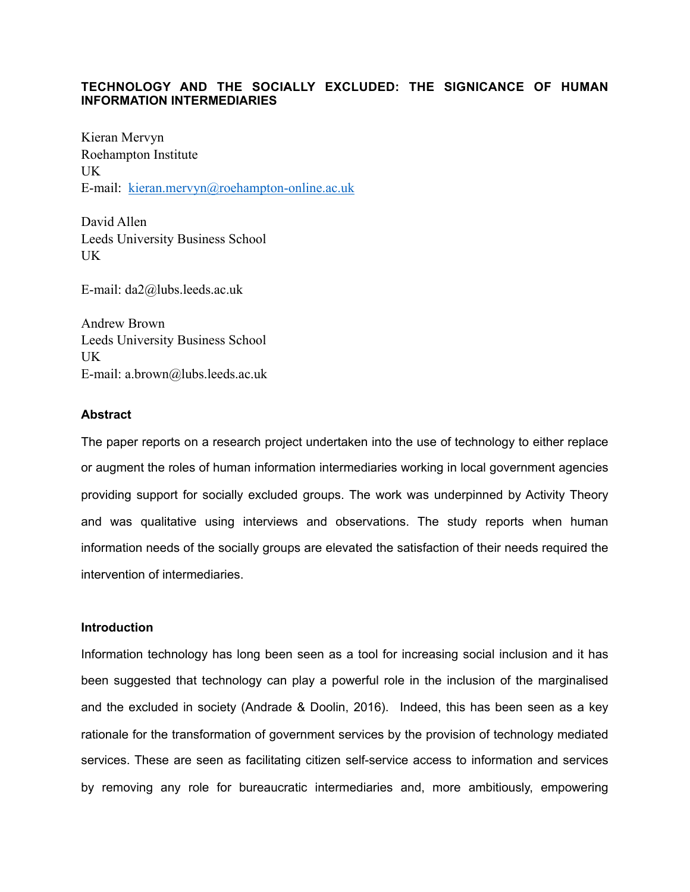# **TECHNOLOGY AND THE SOCIALLY EXCLUDED: THE SIGNICANCE OF HUMAN INFORMATION INTERMEDIARIES**

Kieran Mervyn Roehampton Institute UK E-mail: [kieran.mervyn@roehampton-online.ac.uk](mailto:kieran.mervyn@roehampton-online.ac.uk)

David Allen Leeds University Business School UK

E-mail: da2@lubs.leeds.ac.uk

Andrew Brown Leeds University Business School UK E-mail: a.brown@lubs.leeds.ac.uk

## **Abstract**

The paper reports on a research project undertaken into the use of technology to either replace or augment the roles of human information intermediaries working in local government agencies providing support for socially excluded groups. The work was underpinned by Activity Theory and was qualitative using interviews and observations. The study reports when human information needs of the socially groups are elevated the satisfaction of their needs required the intervention of intermediaries.

### **Introduction**

Information technology has long been seen as a tool for increasing social inclusion and it has been suggested that technology can play a powerful role in the inclusion of the marginalised and the excluded in society (Andrade & Doolin, 2016). Indeed, this has been seen as a key rationale for the transformation of government services by the provision of technology mediated services. These are seen as facilitating citizen self-service access to information and services by removing any role for bureaucratic intermediaries and, more ambitiously, empowering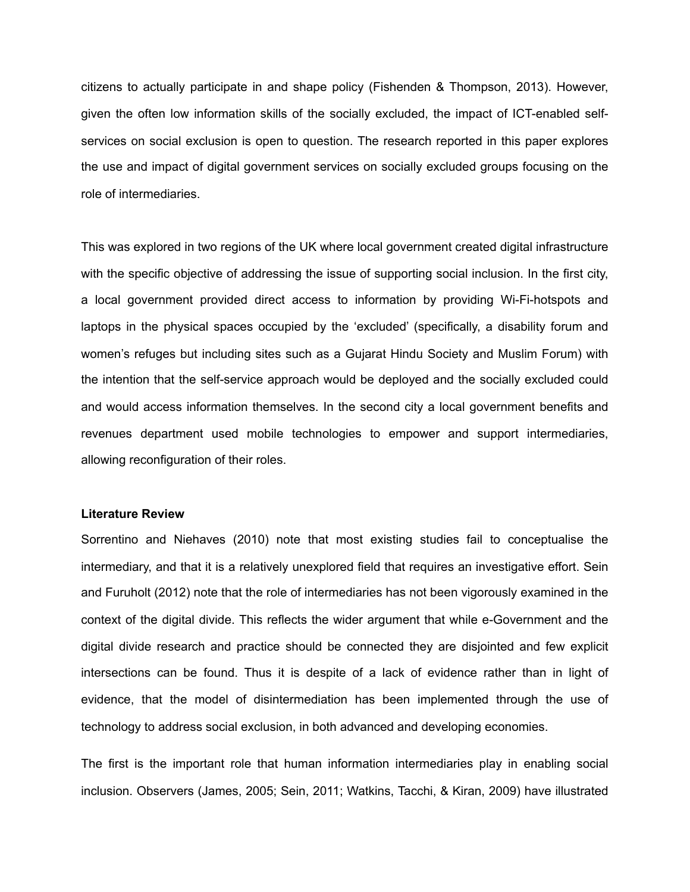citizens to actually participate in and shape policy (Fishenden & Thompson, 2013). However, given the often low information skills of the socially excluded, the impact of ICT-enabled selfservices on social exclusion is open to question. The research reported in this paper explores the use and impact of digital government services on socially excluded groups focusing on the role of intermediaries.

This was explored in two regions of the UK where local government created digital infrastructure with the specific objective of addressing the issue of supporting social inclusion. In the first city, a local government provided direct access to information by providing Wi-Fi-hotspots and laptops in the physical spaces occupied by the 'excluded' (specifically, a disability forum and women's refuges but including sites such as a Gujarat Hindu Society and Muslim Forum) with the intention that the self-service approach would be deployed and the socially excluded could and would access information themselves. In the second city a local government benefits and revenues department used mobile technologies to empower and support intermediaries, allowing reconfiguration of their roles.

### **Literature Review**

Sorrentino and Niehaves (2010) note that most existing studies fail to conceptualise the intermediary, and that it is a relatively unexplored field that requires an investigative effort. Sein and Furuholt (2012) note that the role of intermediaries has not been vigorously examined in the context of the digital divide. This reflects the wider argument that while e-Government and the digital divide research and practice should be connected they are disjointed and few explicit intersections can be found. Thus it is despite of a lack of evidence rather than in light of evidence, that the model of disintermediation has been implemented through the use of technology to address social exclusion, in both advanced and developing economies.

The first is the important role that human information intermediaries play in enabling social inclusion. Observers (James, 2005; Sein, 2011; Watkins, Tacchi, & Kiran, 2009) have illustrated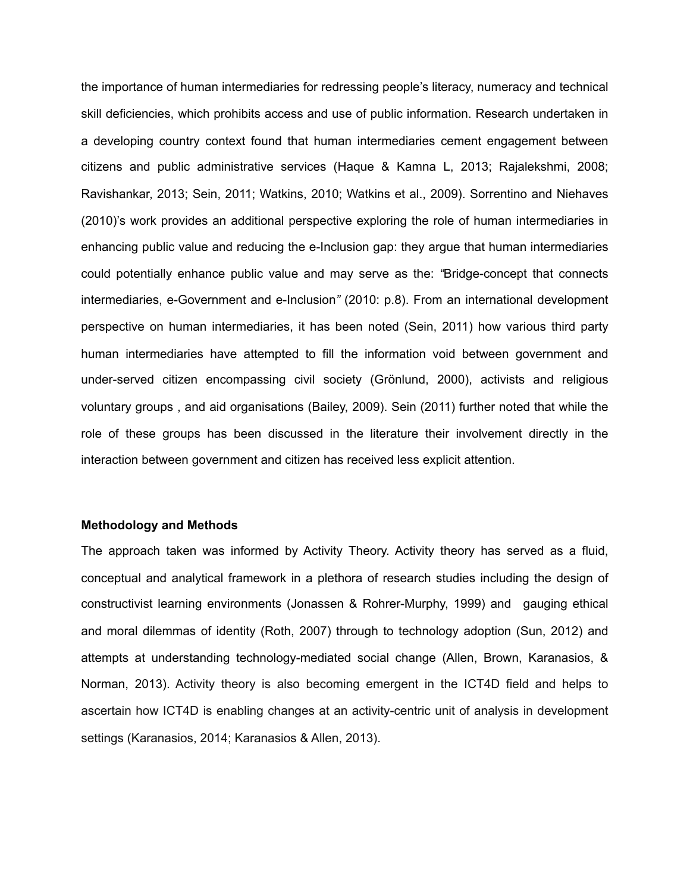the importance of human intermediaries for redressing people's literacy, numeracy and technical skill deficiencies, which prohibits access and use of public information. Research undertaken in a developing country context found that human intermediaries cement engagement between citizens and public administrative services (Haque & Kamna L, 2013; Rajalekshmi, 2008; Ravishankar, 2013; Sein, 2011; Watkins, 2010; Watkins et al., 2009). Sorrentino and Niehaves (2010)'s work provides an additional perspective exploring the role of human intermediaries in enhancing public value and reducing the e-Inclusion gap: they argue that human intermediaries could potentially enhance public value and may serve as the: *"*Bridge-concept that connects intermediaries, e-Government and e-Inclusion*"* (2010: p.8). From an international development perspective on human intermediaries, it has been noted (Sein, 2011) how various third party human intermediaries have attempted to fill the information void between government and under-served citizen encompassing civil society (Grönlund, 2000), activists and religious voluntary groups , and aid organisations (Bailey, 2009). Sein (2011) further noted that while the role of these groups has been discussed in the literature their involvement directly in the interaction between government and citizen has received less explicit attention.

#### **Methodology and Methods**

The approach taken was informed by Activity Theory. Activity theory has served as a fluid, conceptual and analytical framework in a plethora of research studies including the design of constructivist learning environments (Jonassen & Rohrer-Murphy, 1999) and gauging ethical and moral dilemmas of identity (Roth, 2007) through to technology adoption (Sun, 2012) and attempts at understanding technology-mediated social change (Allen, Brown, Karanasios, & Norman, 2013). Activity theory is also becoming emergent in the ICT4D field and helps to ascertain how ICT4D is enabling changes at an activity-centric unit of analysis in development settings (Karanasios, 2014; Karanasios & Allen, 2013).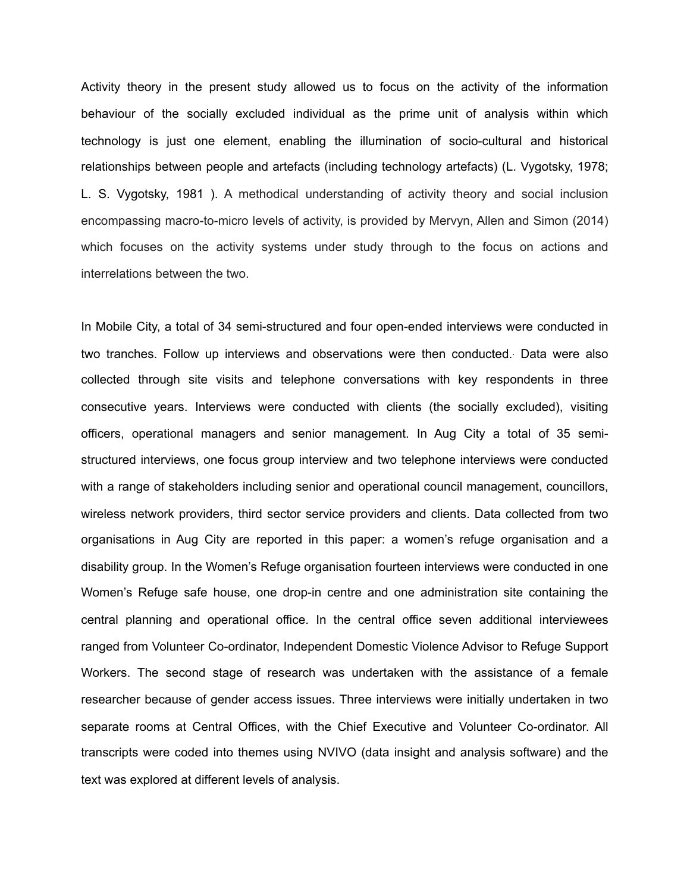Activity theory in the present study allowed us to focus on the activity of the information behaviour of the socially excluded individual as the prime unit of analysis within which technology is just one element, enabling the illumination of socio-cultural and historical relationships between people and artefacts (including technology artefacts) (L. Vygotsky, 1978; L. S. Vygotsky, 1981 ). A methodical understanding of activity theory and social inclusion encompassing macro-to-micro levels of activity, is provided by Mervyn, Allen and Simon (2014) which focuses on the activity systems under study through to the focus on actions and interrelations between the two.

In Mobile City, a total of 34 semi-structured and four open-ended interviews were conducted in two tranches. Follow up interviews and observations were then conducted.. Data were also collected through site visits and telephone conversations with key respondents in three consecutive years. Interviews were conducted with clients (the socially excluded), visiting officers, operational managers and senior management. In Aug City a total of 35 semistructured interviews, one focus group interview and two telephone interviews were conducted with a range of stakeholders including senior and operational council management, councillors, wireless network providers, third sector service providers and clients. Data collected from two organisations in Aug City are reported in this paper: a women's refuge organisation and a disability group. In the Women's Refuge organisation fourteen interviews were conducted in one Women's Refuge safe house, one drop-in centre and one administration site containing the central planning and operational office. In the central office seven additional interviewees ranged from Volunteer Co-ordinator, Independent Domestic Violence Advisor to Refuge Support Workers. The second stage of research was undertaken with the assistance of a female researcher because of gender access issues. Three interviews were initially undertaken in two separate rooms at Central Offices, with the Chief Executive and Volunteer Co-ordinator. All transcripts were coded into themes using NVIVO (data insight and analysis software) and the text was explored at different levels of analysis.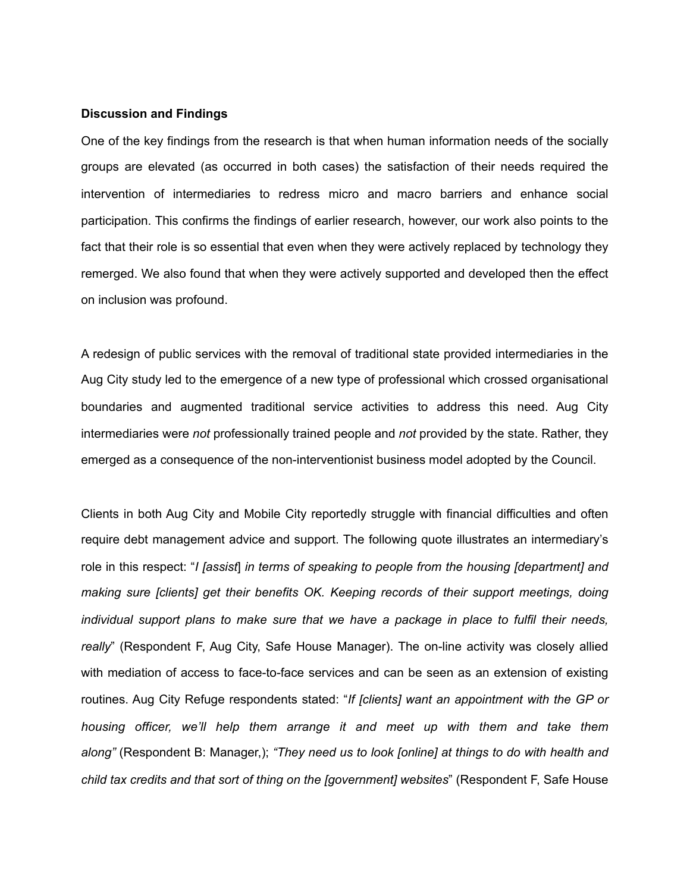## **Discussion and Findings**

One of the key findings from the research is that when human information needs of the socially groups are elevated (as occurred in both cases) the satisfaction of their needs required the intervention of intermediaries to redress micro and macro barriers and enhance social participation. This confirms the findings of earlier research, however, our work also points to the fact that their role is so essential that even when they were actively replaced by technology they remerged. We also found that when they were actively supported and developed then the effect on inclusion was profound.

A redesign of public services with the removal of traditional state provided intermediaries in the Aug City study led to the emergence of a new type of professional which crossed organisational boundaries and augmented traditional service activities to address this need. Aug City intermediaries were *not* professionally trained people and *not* provided by the state. Rather, they emerged as a consequence of the non-interventionist business model adopted by the Council.

Clients in both Aug City and Mobile City reportedly struggle with financial difficulties and often require debt management advice and support. The following quote illustrates an intermediary's role in this respect: "*I [assist*] *in terms of speaking to people from the housing [department] and making sure [clients] get their benefits OK. Keeping records of their support meetings, doing individual support plans to make sure that we have a package in place to fulfil their needs, really*" (Respondent F, Aug City, Safe House Manager). The on-line activity was closely allied with mediation of access to face-to-face services and can be seen as an extension of existing routines. Aug City Refuge respondents stated: "*If [clients] want an appointment with the GP or housing officer, we'll help them arrange it and meet up with them and take them along"* (Respondent B: Manager,); *"They need us to look [online] at things to do with health and child tax credits and that sort of thing on the [government] websites*" (Respondent F, Safe House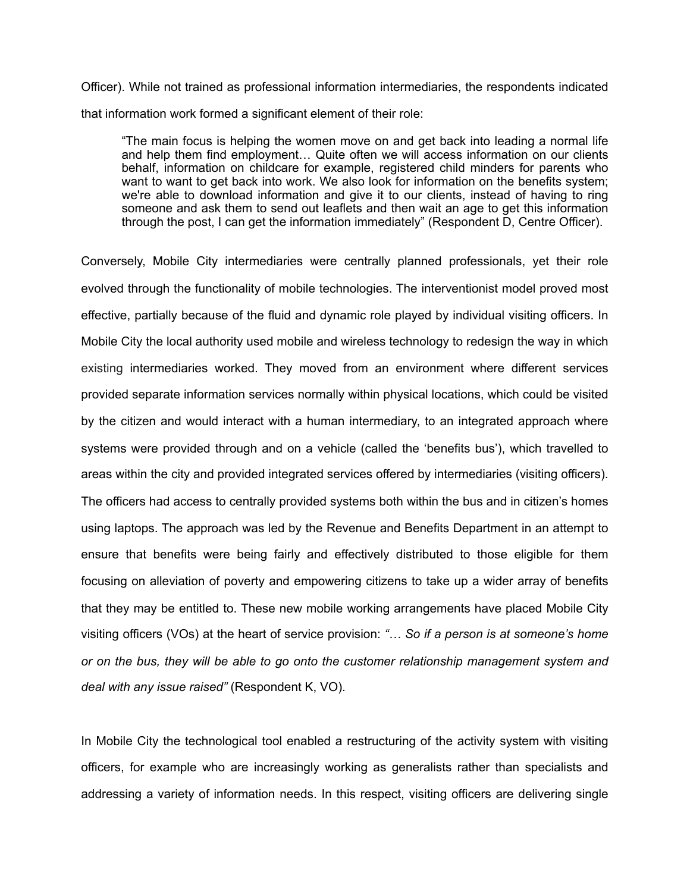Officer). While not trained as professional information intermediaries, the respondents indicated that information work formed a significant element of their role:

"The main focus is helping the women move on and get back into leading a normal life and help them find employment… Quite often we will access information on our clients behalf, information on childcare for example, registered child minders for parents who want to want to get back into work. We also look for information on the benefits system; we're able to download information and give it to our clients, instead of having to ring someone and ask them to send out leaflets and then wait an age to get this information through the post, I can get the information immediately" (Respondent D, Centre Officer).

Conversely, Mobile City intermediaries were centrally planned professionals, yet their role evolved through the functionality of mobile technologies. The interventionist model proved most effective, partially because of the fluid and dynamic role played by individual visiting officers. In Mobile City the local authority used mobile and wireless technology to redesign the way in which existing intermediaries worked. They moved from an environment where different services provided separate information services normally within physical locations, which could be visited by the citizen and would interact with a human intermediary, to an integrated approach where systems were provided through and on a vehicle (called the 'benefits bus'), which travelled to areas within the city and provided integrated services offered by intermediaries (visiting officers). The officers had access to centrally provided systems both within the bus and in citizen's homes using laptops. The approach was led by the Revenue and Benefits Department in an attempt to ensure that benefits were being fairly and effectively distributed to those eligible for them focusing on alleviation of poverty and empowering citizens to take up a wider array of benefits that they may be entitled to. These new mobile working arrangements have placed Mobile City visiting officers (VOs) at the heart of service provision: *"… So if a person is at someone's home or on the bus, they will be able to go onto the customer relationship management system and deal with any issue raised"* (Respondent K, VO).

In Mobile City the technological tool enabled a restructuring of the activity system with visiting officers, for example who are increasingly working as generalists rather than specialists and addressing a variety of information needs. In this respect, visiting officers are delivering single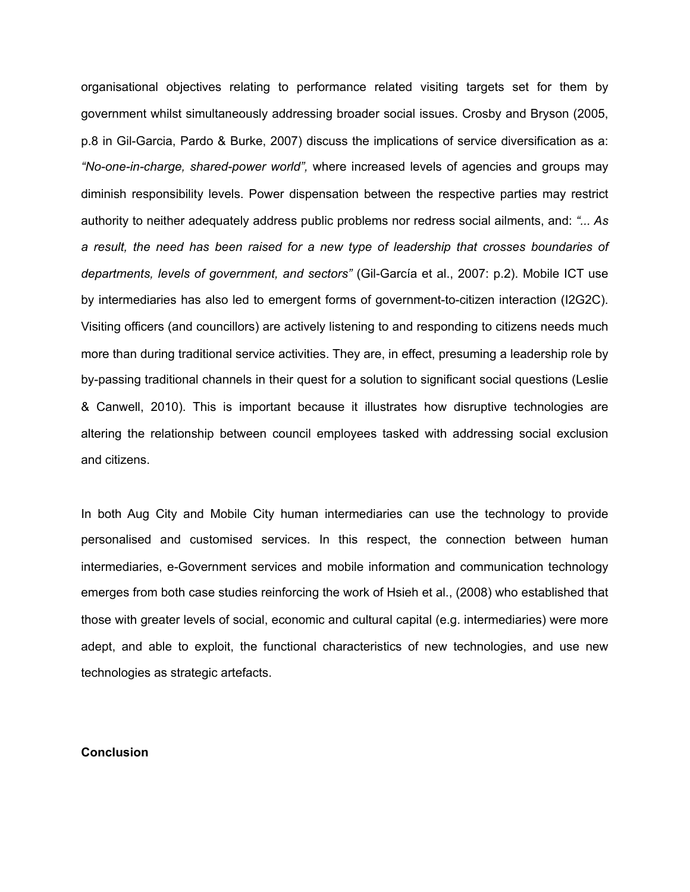organisational objectives relating to performance related visiting targets set for them by government whilst simultaneously addressing broader social issues. Crosby and Bryson (2005, p.8 in Gil-Garcia, Pardo & Burke, 2007) discuss the implications of service diversification as a: *"No-one-in-charge, shared-power world",* where increased levels of agencies and groups may diminish responsibility levels. Power dispensation between the respective parties may restrict authority to neither adequately address public problems nor redress social ailments, and: *"... As a result, the need has been raised for a new type of leadership that crosses boundaries of departments, levels of government, and sectors"* (Gil-García et al., 2007: p.2). Mobile ICT use by intermediaries has also led to emergent forms of government-to-citizen interaction (I2G2C). Visiting officers (and councillors) are actively listening to and responding to citizens needs much more than during traditional service activities. They are, in effect, presuming a leadership role by by-passing traditional channels in their quest for a solution to significant social questions (Leslie & Canwell, 2010). This is important because it illustrates how disruptive technologies are altering the relationship between council employees tasked with addressing social exclusion and citizens.

In both Aug City and Mobile City human intermediaries can use the technology to provide personalised and customised services. In this respect, the connection between human intermediaries, e-Government services and mobile information and communication technology emerges from both case studies reinforcing the work of Hsieh et al., (2008) who established that those with greater levels of social, economic and cultural capital (e.g. intermediaries) were more adept, and able to exploit, the functional characteristics of new technologies, and use new technologies as strategic artefacts.

#### **Conclusion**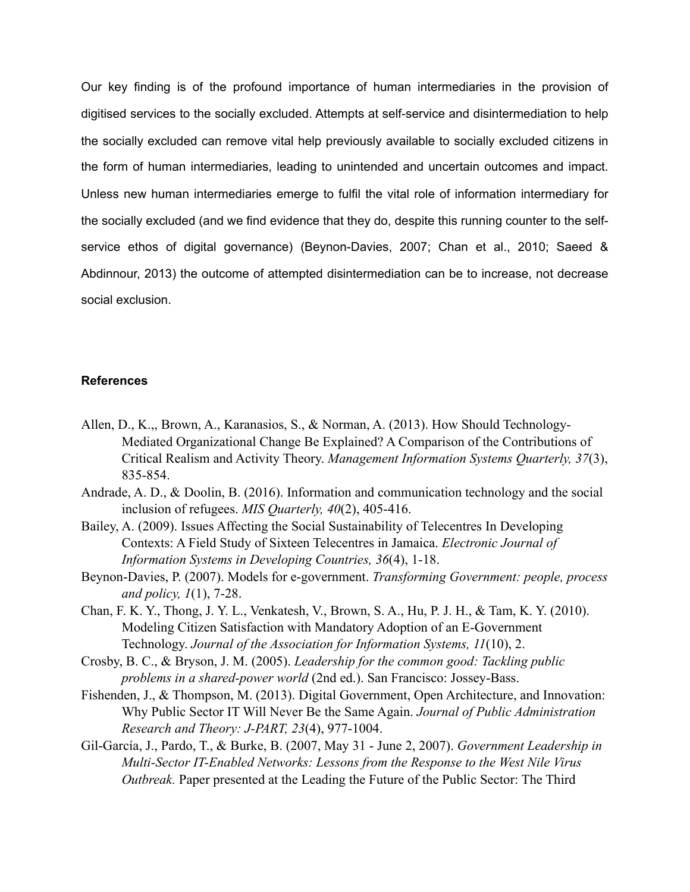Our key finding is of the profound importance of human intermediaries in the provision of digitised services to the socially excluded. Attempts at self-service and disintermediation to help the socially excluded can remove vital help previously available to socially excluded citizens in the form of human intermediaries, leading to unintended and uncertain outcomes and impact. Unless new human intermediaries emerge to fulfil the vital role of information intermediary for the socially excluded (and we find evidence that they do, despite this running counter to the selfservice ethos of digital governance) (Beynon-Davies, 2007; Chan et al., 2010; Saeed & Abdinnour, 2013) the outcome of attempted disintermediation can be to increase, not decrease social exclusion.

#### **References**

- Allen, D., K.,, Brown, A., Karanasios, S., & Norman, A. (2013). How Should Technology-Mediated Organizational Change Be Explained? A Comparison of the Contributions of Critical Realism and Activity Theory. *Management Information Systems Quarterly, 37*(3), 835-854.
- Andrade, A. D., & Doolin, B. (2016). Information and communication technology and the social inclusion of refugees. *MIS Quarterly, 40*(2), 405-416.
- Bailey, A. (2009). Issues Affecting the Social Sustainability of Telecentres In Developing Contexts: A Field Study of Sixteen Telecentres in Jamaica. *Electronic Journal of Information Systems in Developing Countries, 36*(4), 1-18.
- Beynon-Davies, P. (2007). Models for e-government. *Transforming Government: people, process and policy, 1*(1), 7-28.
- Chan, F. K. Y., Thong, J. Y. L., Venkatesh, V., Brown, S. A., Hu, P. J. H., & Tam, K. Y. (2010). Modeling Citizen Satisfaction with Mandatory Adoption of an E-Government Technology. *Journal of the Association for Information Systems, 11*(10), 2.
- Crosby, B. C., & Bryson, J. M. (2005). *Leadership for the common good: Tackling public problems in a shared-power world* (2nd ed.). San Francisco: Jossey-Bass.
- Fishenden, J., & Thompson, M. (2013). Digital Government, Open Architecture, and Innovation: Why Public Sector IT Will Never Be the Same Again. *Journal of Public Administration Research and Theory: J-PART, 23*(4), 977-1004.
- Gil-García, J., Pardo, T., & Burke, B. (2007, May 31 June 2, 2007). *Government Leadership in Multi-Sector IT-Enabled Networks: Lessons from the Response to the West Nile Virus Outbreak.* Paper presented at the Leading the Future of the Public Sector: The Third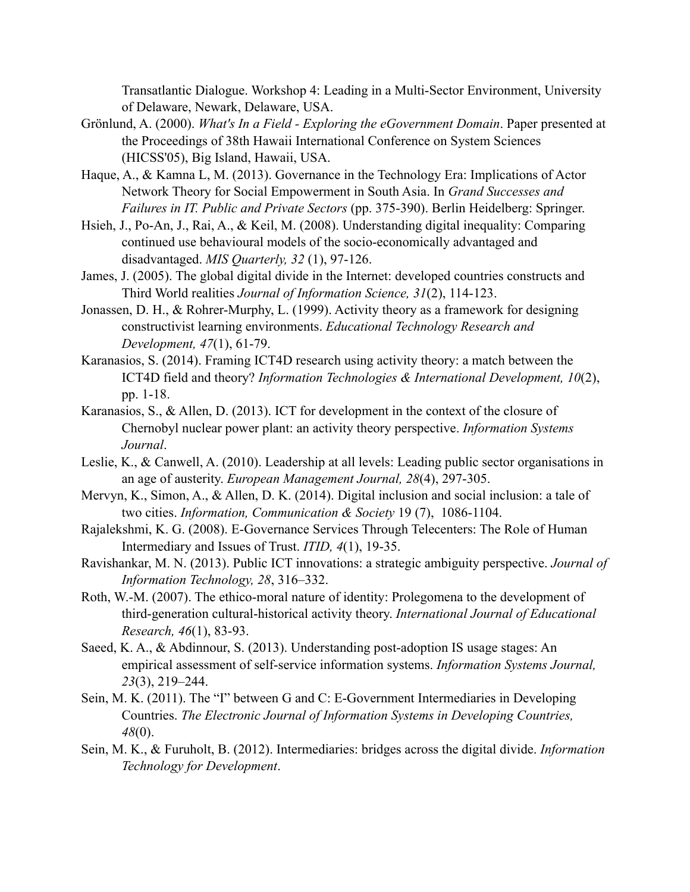Transatlantic Dialogue. Workshop 4: Leading in a Multi-Sector Environment, University of Delaware, Newark, Delaware, USA.

- Grönlund, A. (2000). *What's In a Field Exploring the eGovernment Domain*. Paper presented at the Proceedings of 38th Hawaii International Conference on System Sciences (HICSS'05), Big Island, Hawaii, USA.
- Haque, A., & Kamna L, M. (2013). Governance in the Technology Era: Implications of Actor Network Theory for Social Empowerment in South Asia. In *Grand Successes and Failures in IT. Public and Private Sectors* (pp. 375-390). Berlin Heidelberg: Springer.
- Hsieh, J., Po-An, J., Rai, A., & Keil, M. (2008). Understanding digital inequality: Comparing continued use behavioural models of the socio-economically advantaged and disadvantaged. *MIS Quarterly, 32* (1), 97-126.
- James, J. (2005). The global digital divide in the Internet: developed countries constructs and Third World realities *Journal of Information Science, 31*(2), 114-123.
- Jonassen, D. H., & Rohrer-Murphy, L. (1999). Activity theory as a framework for designing constructivist learning environments. *Educational Technology Research and Development, 47*(1), 61-79.
- Karanasios, S. (2014). Framing ICT4D research using activity theory: a match between the ICT4D field and theory? *Information Technologies & International Development, 10*(2), pp. 1-18.
- Karanasios, S., & Allen, D. (2013). ICT for development in the context of the closure of Chernobyl nuclear power plant: an activity theory perspective. *Information Systems Journal*.
- Leslie, K., & Canwell, A. (2010). Leadership at all levels: Leading public sector organisations in an age of austerity. *European Management Journal, 28*(4), 297-305.
- Mervyn, K., Simon, A., & Allen, D. K. (2014). Digital inclusion and social inclusion: a tale of two cities. *Information, Communication & Society* 19 (7), 1086-1104.
- Rajalekshmi, K. G. (2008). E-Governance Services Through Telecenters: The Role of Human Intermediary and Issues of Trust. *ITID, 4*(1), 19-35.
- Ravishankar, M. N. (2013). Public ICT innovations: a strategic ambiguity perspective. *Journal of Information Technology, 28*, 316–332.
- Roth, W.-M. (2007). The ethico-moral nature of identity: Prolegomena to the development of third-generation cultural-historical activity theory. *International Journal of Educational Research, 46*(1), 83-93.
- Saeed, K. A., & Abdinnour, S. (2013). Understanding post-adoption IS usage stages: An empirical assessment of self-service information systems. *Information Systems Journal, 23*(3), 219–244.
- Sein, M. K. (2011). The "I" between G and C: E-Government Intermediaries in Developing Countries. *The Electronic Journal of Information Systems in Developing Countries, 48*(0).
- Sein, M. K., & Furuholt, B. (2012). Intermediaries: bridges across the digital divide. *Information Technology for Development*.